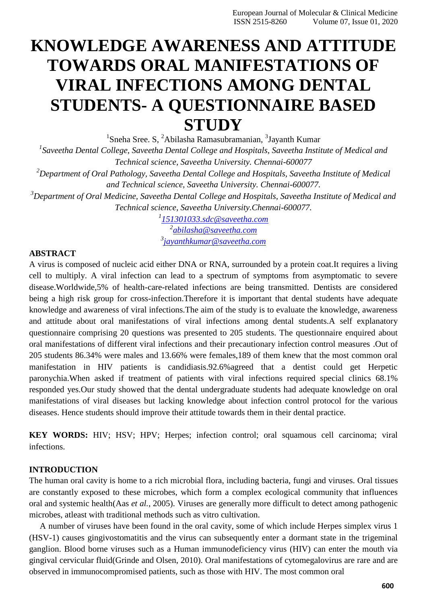# **KNOWLEDGE AWARENESS AND ATTITUDE TOWARDS ORAL MANIFESTATIONS OF VIRAL INFECTIONS AMONG DENTAL STUDENTS- A QUESTIONNAIRE BASED STUDY**

<sup>1</sup>Sneha Sree. S, <sup>2</sup>Abilasha Ramasubramanian, <sup>3</sup>Jayanth Kumar *1 Saveetha Dental College, Saveetha Dental College and Hospitals, Saveetha Institute of Medical and Technical science, Saveetha University. Chennai-600077*

*<sup>2</sup>Department of Oral Pathology, Saveetha Dental College and Hospitals, Saveetha Institute of Medical and Technical science, Saveetha University. Chennai-600077.*

*<sup>3</sup>Department of Oral Medicine, Saveetha Dental College and Hospitals, Saveetha Institute of Medical and Technical science, Saveetha University.Chennai-600077.*

> *1 [151301033.sdc@saveetha.com](mailto:151301033.sdc@saveetha.com) 2 [abilasha@saveetha.com](mailto:abilasha@saveetha.com) 3 [jayanthkumar@saveetha.com](mailto:jayanthkumar@saveetha.com)*

#### **ABSTRACT**

A virus is composed of nucleic acid either DNA or RNA, surrounded by a protein coat.It requires a living cell to multiply. A viral infection can lead to a spectrum of symptoms from asymptomatic to severe disease.Worldwide,5% of health-care-related infections are being transmitted. Dentists are considered being a high risk group for cross-infection.Therefore it is important that dental students have adequate knowledge and awareness of viral infections.The aim of the study is to evaluate the knowledge, awareness and attitude about oral manifestations of viral infections among dental students.A self explanatory questionnaire comprising 20 questions was presented to 205 students. The questionnaire enquired about oral manifestations of different viral infections and their precautionary infection control measures .Out of 205 students 86.34% were males and 13.66% were females,189 of them knew that the most common oral manifestation in HIV patients is candidiasis.92.6%agreed that a dentist could get Herpetic paronychia.When asked if treatment of patients with viral infections required special clinics 68.1% responded yes.Our study showed that the dental undergraduate students had adequate knowledge on oral manifestations of viral diseases but lacking knowledge about infection control protocol for the various diseases. Hence students should improve their attitude towards them in their dental practice.

**KEY WORDS:** HIV; HSV; HPV; Herpes; infection control; oral squamous cell carcinoma; viral infections.

## **INTRODUCTION**

The human oral cavity is home to a rich microbial flora, including bacteria, fungi and viruses. Oral tissues are constantly exposed to these microbes, which form a complex ecological community that influences oral and systemic health(Aas *et al.*[, 2005\). V](https://paperpile.com/c/UZ2cjp/uu0W)iruses are generally more difficult to detect among pathogenic microbes, atleast with traditional methods such as vitro cultivation.

A number of viruses have been found in the oral cavity, some of which include Herpes simplex virus 1 (HSV-1) causes gingivostomatitis and the virus can subsequently enter a dormant state in the trigeminal ganglion. Blood borne viruses such as a Human immunodeficiency virus (HIV) can enter the mouth via gingival cervicular flui[d\(Grinde and Olsen, 2010\). O](https://paperpile.com/c/UZ2cjp/eX89)ral manifestations of cytomegalovirus are rare and are observed in immunocompromised patients, such as those with HIV. The most common oral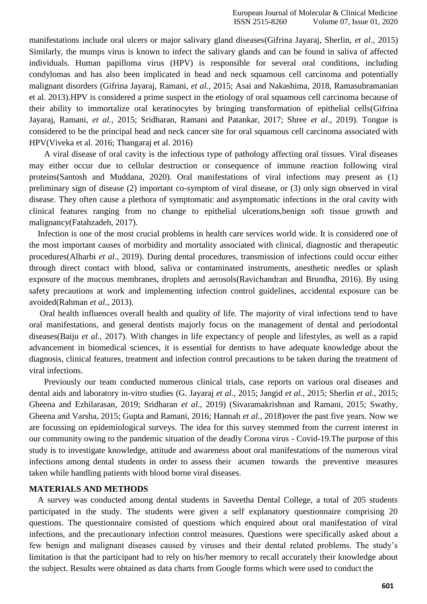manifestations include oral ulcers or major salivary gland disease[s\(Gifrina Jayaraj, Sherlin,](https://paperpile.com/c/UZ2cjp/Zzse) *et al.*, 2015) Similarly, the mumps virus is known to infect the salivary glands and can be found in saliva of affected individuals. Human papilloma virus (HPV) is responsible for several oral conditions, including condylomas and has also been implicated in head and neck squamous cell carcinoma and potentially malignant disorders (Gifrina Jayaraj, Ramani, *et al.*[, 2015; Asai and Nakashima, 2018, Ramasubramanian](https://paperpile.com/c/UZ2cjp/u9Qc%2B9fFx) [et al. 2013\).](https://paperpile.com/c/UZ2cjp/RWKo%2BYma0%2BvE1V)HPV is considered a prime suspect in the etiology of oral squamous cell carcinoma because of their ability to immortalize oral keratinocytes by bringing transformation of epithelial cell[s\(Gifrina](https://paperpile.com/c/UZ2cjp/9fFx%2BdS5Z%2B9tFK)  Jayaraj, Ramani, *et al.*[, 2015; Sridharan, Ramani and Patankar, 2017; Shree](https://paperpile.com/c/UZ2cjp/9fFx%2BdS5Z%2B9tFK) *et al.*, 2019). Tongue is considered to be the principal head and neck cancer site for oral squamous cell carcinoma associated with HP[V\(Viveka et al. 2016; Thangaraj et al. 2016\)](https://paperpile.com/c/UZ2cjp/RWKo%2BYma0)

A viral disease of oral cavity is the infectious type of pathology affecting oral tissues. Viral diseases may either occur due to cellular destruction or consequence of immune reaction following viral protein[s\(Santosh and Muddana, 2020\).](https://paperpile.com/c/UZ2cjp/5zW8) Oral manifestations of viral infections may present as (1) preliminary sign of disease (2) important co-symptom of viral disease, or (3) only sign observed in viral disease. They often cause a plethora of symptomatic and asymptomatic infections in the oral cavity with clinical features ranging from no change to epithelial ulcerations,benign soft tissue growth and malignanc[y\(Fatahzadeh, 2017\).](https://paperpile.com/c/UZ2cjp/N3Gq)

Infection is one of the most crucial problems in health care services world wide. It is considered one of the most important causes of morbidity and mortality associated with clinical, diagnostic and therapeutic procedure[s\(Alharbi](https://paperpile.com/c/UZ2cjp/WQUd) *et al.*, 2019). During dental procedures, transmission of infections could occur either through direct contact with blood, saliva or contaminated instruments, anesthetic needles or splash exposure of the mucous membranes, droplets and aerosol[s\(Ravichandran and Brundha, 2016\). B](https://paperpile.com/c/UZ2cjp/CqII)y using safety precautions at work and implementing infection control guidelines, accidental exposure can be avoided(Rahman *et al.*[, 2013\).](https://paperpile.com/c/UZ2cjp/QCYR)

Oral health influences overall health and quality of life. The majority of viral infections tend to have oral manifestations, and general dentists majorly focus on the management of dental and periodontal diseases(Baiju *et al.*[, 2017\). W](https://paperpile.com/c/UZ2cjp/HVsA)ith changes in life expectancy of people and lifestyles, as well as a rapid advancement in biomedical sciences, it is essential for dentists to have adequate knowledge about the diagnosis, clinical features, treatment and infection control precautions to be taken during the treatment of viral infections.

Previously our team conducted numerous clinical trials, case reports on various oral diseases and dental aids and laboratory in-vitro studies (G. Jayaraj *et al.*, 2015; Jangid *et al.*[, 2015; Sherlin](https://paperpile.com/c/UZ2cjp/8Avz%2Bi7bJ%2By4Hd%2BGOdG%2BCreU) *et al.*, 2015; [Gheena and Ezhilarasan, 2019; Sridharan](https://paperpile.com/c/UZ2cjp/8Avz%2Bi7bJ%2By4Hd%2BGOdG%2BCreU) *et al.*, 2019) [\(Sivaramakrishnan and Ramani, 2015; Swathy,](https://paperpile.com/c/UZ2cjp/iSzV%2BhFr1%2Bt4dz%2BnOUA) [Gheena and Varsha, 2015; Gupta and Ramani, 2016; Hannah](https://paperpile.com/c/UZ2cjp/iSzV%2BhFr1%2Bt4dz%2BnOUA) *et al.*, 2018)over the past five years. Now we are focussing on epidemiological surveys. The idea for this survey stemmed from the current interest in our community owing to the pandemic situation of the deadly Corona virus - Covid-19.The purpose of this study is to investigate knowledge, attitude and awareness about oral manifestations of the numerous viral infections among dental students in order to assess their acumen towards the preventive measures taken while handling patients with blood borne viral diseases.

#### **MATERIALS AND METHODS**

A survey was conducted among dental students in Saveetha Dental College, a total of 205 students participated in the study. The students were given a self explanatory questionnaire comprising 20 questions. The questionnaire consisted of questions which enquired about oral manifestation of viral infections, and the precautionary infection control measures. Questions were specifically asked about a few benign and malignant diseases caused by viruses and their dental related problems. The study's limitation is that the participant had to rely on his/her memory to recall accurately their knowledge about the subject. Results were obtained as data charts from Google forms which were used to conduct the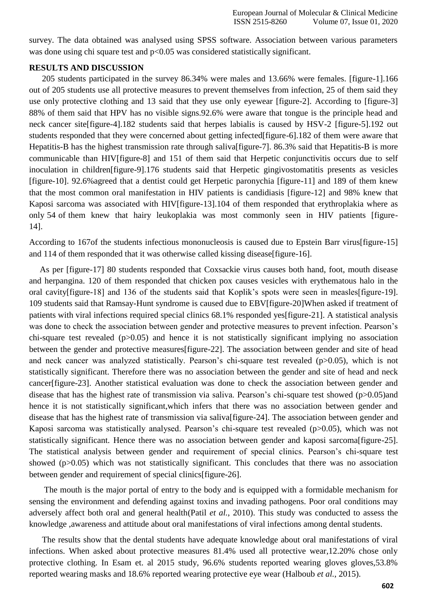survey. The data obtained was analysed using SPSS software. Association between various parameters was done using chi square test and  $p<0.05$  was considered statistically significant.

#### **RESULTS AND DISCUSSION**

205 students participated in the survey 86.34% were males and 13.66% were females. [figure-1].166 out of 205 students use all protective measures to prevent themselves from infection, 25 of them said they use only protective clothing and 13 said that they use only eyewear [figure-2]. According to [figure-3] 88% of them said that HPV has no visible signs.92.6% were aware that tongue is the principle head and neck cancer site[figure-4].182 students said that herpes labialis is caused by HSV-2 [figure-5].192 out students responded that they were concerned about getting infected[figure-6].182 of them were aware that Hepatitis-B has the highest transmission rate through saliva[figure-7]. 86.3% said that Hepatitis-B is more communicable than HIV[figure-8] and 151 of them said that Herpetic conjunctivitis occurs due to self inoculation in children[figure-9].176 students said that Herpetic gingivostomatitis presents as vesicles [figure-10]. 92.6%agreed that a dentist could get Herpetic paronychia [figure-11] and 189 of them knew that the most common oral manifestation in HIV patients is candidiasis [figure-12] and 98% knew that Kaposi sarcoma was associated with HIV[figure-13].104 of them responded that erythroplakia where as only 54 of them knew that hairy leukoplakia was most commonly seen in HIV patients [figure-14].

According to 167of the students infectious mononucleosis is caused due to Epstein Barr virus[figure-15] and 114 of them responded that it was otherwise called kissing disease [figure-16].

As per [figure-17] 80 students responded that Coxsackie virus causes both hand, foot, mouth disease and herpangina. 120 of them responded that chicken pox causes vesicles with erythematous halo in the oral cavity[figure-18] and 136 of the students said that Koplik's spots were seen in measles[figure-19]. 109 students said that Ramsay-Hunt syndrome is caused due to EBV[figure-20]When asked if treatment of patients with viral infections required special clinics 68.1% responded yes[figure-21]. A statistical analysis was done to check the association between gender and protective measures to prevent infection. Pearson's chi-square test revealed  $(p>0.05)$  and hence it is not statistically significant implying no association between the gender and protective measures[figure-22]. The association between gender and site of head and neck cancer was analyzed statistically. Pearson's chi-square test revealed (p>0.05), which is not statistically significant. Therefore there was no association between the gender and site of head and neck cancer[figure-23]. Another statistical evaluation was done to check the association between gender and disease that has the highest rate of transmission via saliva. Pearson's chi-square test showed (p>0.05)and hence it is not statistically significant,which infers that there was no association between gender and disease that has the highest rate of transmission via saliva[figure-24]. The association between gender and Kaposi sarcoma was statistically analysed. Pearson's chi-square test revealed (p>0.05), which was not statistically significant. Hence there was no association between gender and kaposi sarcoma[figure-25]. The statistical analysis between gender and requirement of special clinics. Pearson's chi-square test showed (p>0.05) which was not statistically significant. This concludes that there was no association between gender and requirement of special clinics[figure-26].

The mouth is the major portal of entry to the body and is equipped with a formidable mechanism for sensing the environment and defending against toxins and invading pathogens. Poor oral conditions may adversely affect both oral and general health(Patil *et al.*[, 2010\).](https://paperpile.com/c/UZ2cjp/XVex) This study was conducted to assess the knowledge ,awareness and attitude about oral manifestations of viral infections among dental students.

The results show that the dental students have adequate knowledge about oral manifestations of viral infections. When asked about protective measures 81.4% used all protective wear,12.20% chose only protective clothing. In Esam et. al 2015 study, 96.6% students reported wearing gloves gloves,53.8% reported wearing masks and 18.6% reported wearing protective eye wear [\(Halboub](https://paperpile.com/c/UZ2cjp/Zzq6) *et al.*, 2015).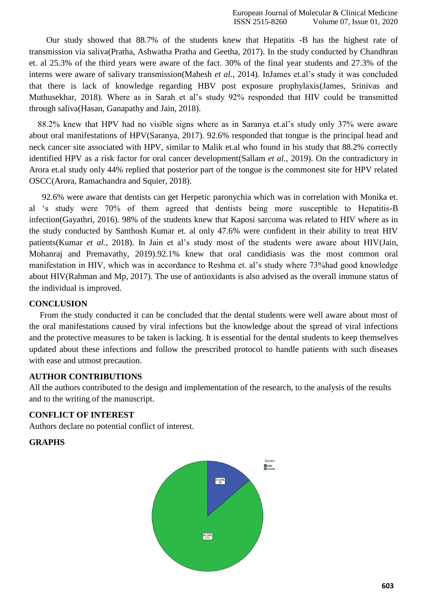Our study showed that 88.7% of the students knew that Hepatitis -B has the highest rate of transmission via saliv[a\(Pratha, Ashwatha Pratha and Geetha, 2017\). I](https://paperpile.com/c/UZ2cjp/u6iv)n the study conducted by Chandhran et. al 25.3% of the third years were aware of the fact. 30% of the final year students and 27.3% of the interns were aware of salivary transmissio[n\(Mahesh](https://paperpile.com/c/UZ2cjp/iLIW) *et al.*, 2014). InJames et.al's study it was concluded that there is lack of knowledge regarding HBV post exposure prophylaxi[s\(James, Srinivas and](https://paperpile.com/c/UZ2cjp/yr3C) [Muthusekhar, 2018\).](https://paperpile.com/c/UZ2cjp/yr3C) Where as in Sarah et al's study 92% responded that HIV could be transmitted through saliv[a\(Hasan, Ganapathy and Jain,](https://paperpile.com/c/UZ2cjp/tehO) 2018).

88.2% knew that HPV had no visible signs where as in Saranya et.al's study only 37% were aware about oral manifestations of HP[V\(Saranya, 2017\). 9](https://paperpile.com/c/UZ2cjp/LYXb)2.6% responded that tongue is the principal head and neck cancer site associated with HPV, similar to Malik et.al who found in his study that 88.2% correctly identified HPV as a risk factor for oral cancer developmen[t\(Sallam](https://paperpile.com/c/UZ2cjp/p7No) *et al.*, 2019). On the contradictory in Arora et.al study only 44% replied that posterior part of the tongue is the commonest site for HPV related OSC[C\(Arora, Ramachandra and Squier,](https://paperpile.com/c/UZ2cjp/Tves) 2018).

92.6% were aware that dentists can get Herpetic paronychia which was in correlation with Monika et. al 's study were 70% of them agreed that dentists being more susceptible to Hepatitis-B infectio[n\(Gayathri, 2016\). 9](https://paperpile.com/c/UZ2cjp/8o4a)8% of the students knew that Kaposi sarcoma was related to HIV where as in the study conducted by Santhosh Kumar et. al only 47.6% were confident in their ability to treat HIV patient[s\(Kumar](https://paperpile.com/c/UZ2cjp/67AI) *et al.*, 2018). In Jain et al's study most of the students were aware about HI[V\(Jain,](https://paperpile.com/c/UZ2cjp/qmks) [Mohanraj and Premavathy, 2019\).](https://paperpile.com/c/UZ2cjp/qmks)92.1% knew that oral candidiasis was the most common oral manifestation in HIV, which was in accordance to Reshma et. al's study where 73%had good knowledge about HI[V\(Rahman and Mp, 2017\).](https://paperpile.com/c/UZ2cjp/jpSs) The use of antioxidants is also advised as the overall immune status of the individual is improved.

## **CONCLUSION**

From the study conducted it can be concluded that the dental students were well aware about most of the oral manifestations caused by viral infections but the knowledge about the spread of viral infections and the protective measures to be taken is lacking. It is essential for the dental students to keep themselves updated about these infections and follow the prescribed protocol to handle patients with such diseases with ease and utmost precaution.

#### **AUTHOR CONTRIBUTIONS**

All the authors contributed to the design and implementation of the research, to the analysis of the results and to the writing of the manuscript.

## **CONFLICT OF INTEREST**

Authors declare no potential conflict of interest.

#### **GRAPHS**

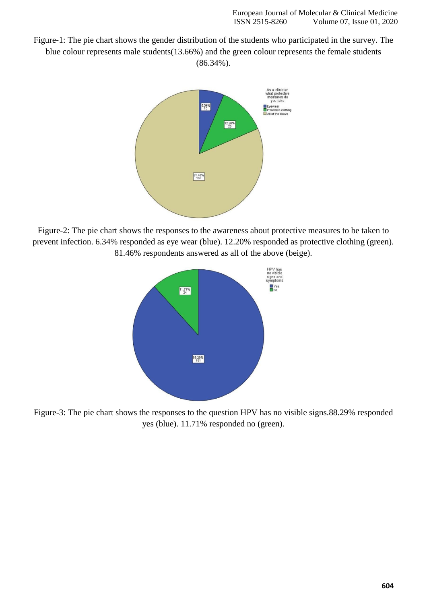Figure-1: The pie chart shows the gender distribution of the students who participated in the survey. The blue colour represents male students(13.66%) and the green colour represents the female students (86.34%).



Figure-2: The pie chart shows the responses to the awareness about protective measures to be taken to prevent infection. 6.34% responded as eye wear (blue). 12.20% responded as protective clothing (green). 81.46% respondents answered as all of the above (beige).



Figure-3: The pie chart shows the responses to the question HPV has no visible signs.88.29% responded yes (blue). 11.71% responded no (green).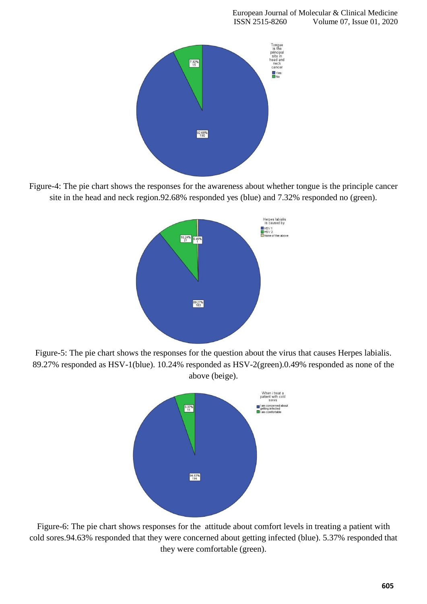

Figure-4: The pie chart shows the responses for the awareness about whether tongue is the principle cancer site in the head and neck region.92.68% responded yes (blue) and 7.32% responded no (green).



Figure-5: The pie chart shows the responses for the question about the virus that causes Herpes labialis. 89.27% responded as HSV-1(blue). 10.24% responded as HSV-2(green).0.49% responded as none of the above (beige).



Figure-6: The pie chart shows responses for the attitude about comfort levels in treating a patient with cold sores.94.63% responded that they were concerned about getting infected (blue). 5.37% responded that they were comfortable (green).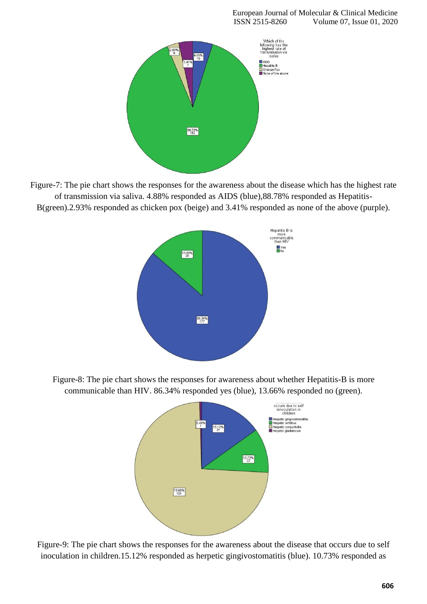

Figure-7: The pie chart shows the responses for the awareness about the disease which has the highest rate of transmission via saliva. 4.88% responded as AIDS (blue),88.78% responded as Hepatitis-B(green).2.93% responded as chicken pox (beige) and 3.41% responded as none of the above (purple).



Figure-8: The pie chart shows the responses for awareness about whether Hepatitis-B is more communicable than HIV. 86.34% responded yes (blue), 13.66% responded no (green).



Figure-9: The pie chart shows the responses for the awareness about the disease that occurs due to self inoculation in children.15.12% responded as herpetic gingivostomatitis (blue). 10.73% responded as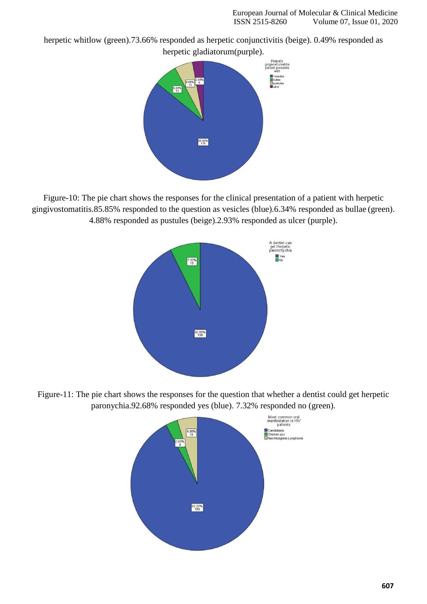herpetic whitlow (green).73.66% responded as herpetic conjunctivitis (beige). 0.49% responded as



Figure-10: The pie chart shows the responses for the clinical presentation of a patient with herpetic gingivostomatitis.85.85% responded to the question as vesicles (blue).6.34% responded as bullae (green). 4.88% responded as pustules (beige).2.93% responded as ulcer (purple).



Figure-11: The pie chart shows the responses for the question that whether a dentist could get herpetic paronychia.92.68% responded yes (blue). 7.32% responded no (green).

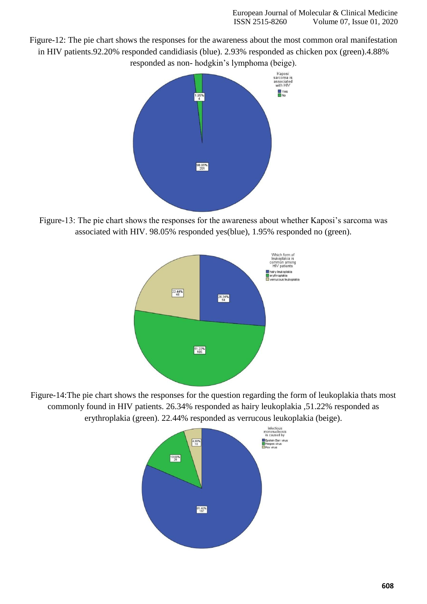Figure-12: The pie chart shows the responses for the awareness about the most common oral manifestation in HIV patients.92.20% responded candidiasis (blue). 2.93% responded as chicken pox (green).4.88% responded as non- hodgkin's lymphoma (beige).



Figure-13: The pie chart shows the responses for the awareness about whether Kaposi's sarcoma was associated with HIV. 98.05% responded yes(blue), 1.95% responded no (green).



Figure-14:The pie chart shows the responses for the question regarding the form of leukoplakia thats most commonly found in HIV patients. 26.34% responded as hairy leukoplakia ,51.22% responded as erythroplakia (green). 22.44% responded as verrucous leukoplakia (beige).

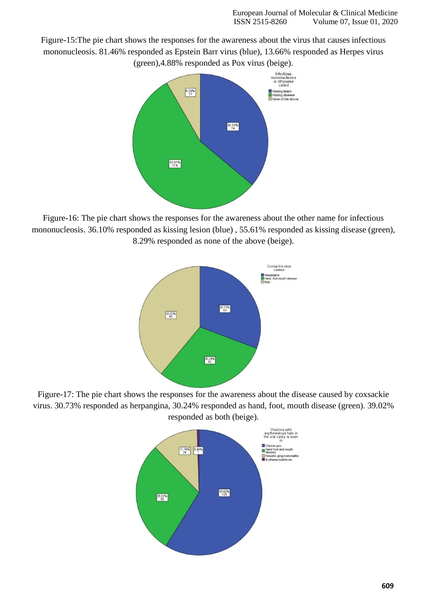Figure-15:The pie chart shows the responses for the awareness about the virus that causes infectious mononucleosis. 81.46% responded as Epstein Barr virus (blue), 13.66% responded as Herpes virus (green),4.88% responded as Pox virus (beige).



Figure-16: The pie chart shows the responses for the awareness about the other name for infectious mononucleosis. 36.10% responded as kissing lesion (blue) , 55.61% responded as kissing disease (green), 8.29% responded as none of the above (beige).



Figure-17: The pie chart shows the responses for the awareness about the disease caused by coxsackie virus. 30.73% responded as herpangina, 30.24% responded as hand, foot, mouth disease (green). 39.02% responded as both (beige).

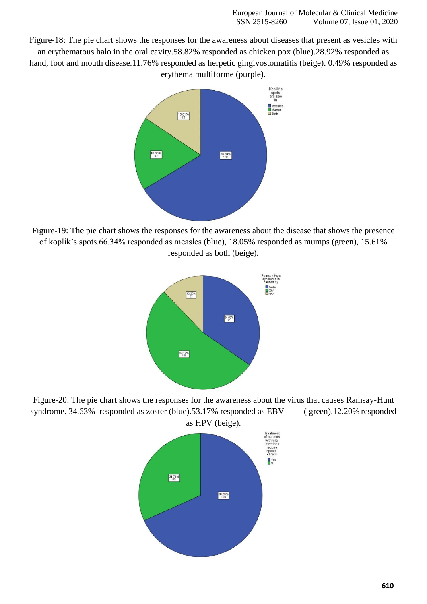Figure-18: The pie chart shows the responses for the awareness about diseases that present as vesicles with an erythematous halo in the oral cavity.58.82% responded as chicken pox (blue).28.92% responded as hand, foot and mouth disease.11.76% responded as herpetic gingivostomatitis (beige). 0.49% responded as erythema multiforme (purple).



Figure-19: The pie chart shows the responses for the awareness about the disease that shows the presence of koplik's spots.66.34% responded as measles (blue), 18.05% responded as mumps (green), 15.61% responded as both (beige).



Figure-20: The pie chart shows the responses for the awareness about the virus that causes Ramsay-Hunt syndrome. 34.63% responded as zoster (blue).53.17% responded as EBV (green).12.20% responded as HPV (beige).

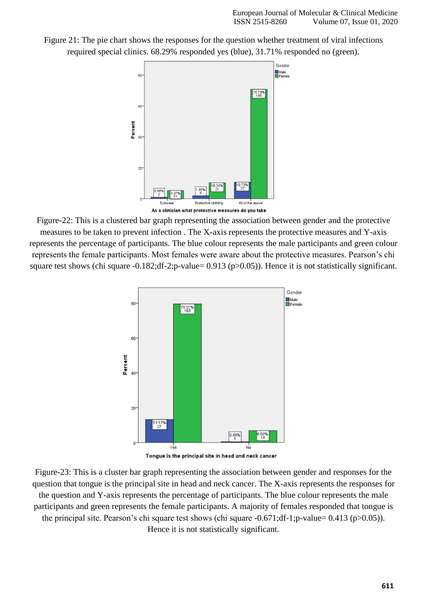



Figure-22: This is a clustered bar graph representing the association between gender and the protective measures to be taken to prevent infection . The X-axis represents the protective measures and Y-axis represents the percentage of participants. The blue colour represents the male participants and green colour represents the female participants. Most females were aware about the protective measures. Pearson's chi square test shows (chi square -0.182;df-2;p-value= 0.913 (p>0.05)). Hence it is not statistically significant.



Figure-23: This is a cluster bar graph representing the association between gender and responses for the question that tongue is the principal site in head and neck cancer. The X-axis represents the responses for the question and Y-axis represents the percentage of participants. The blue colour represents the male participants and green represents the female participants. A majority of females responded that tongue is the principal site. Pearson's chi square test shows (chi square -0.671;df-1;p-value= 0.413 (p>0.05)). Hence it is not statistically significant.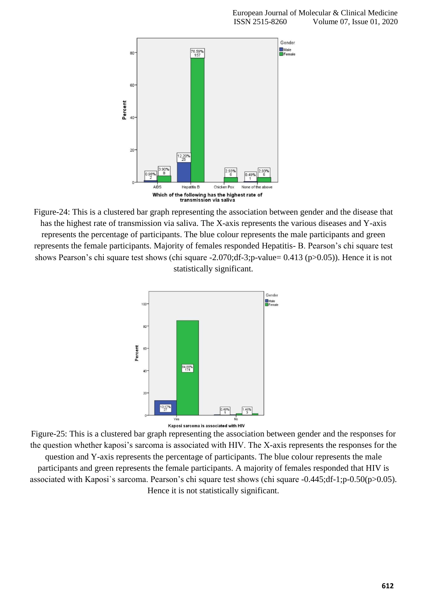

Figure-24: This is a clustered bar graph representing the association between gender and the disease that has the highest rate of transmission via saliva. The X-axis represents the various diseases and Y-axis represents the percentage of participants. The blue colour represents the male participants and green represents the female participants. Majority of females responded Hepatitis- B. Pearson's chi square test shows Pearson's chi square test shows (chi square -2.070;df-3;p-value= 0.413 (p>0.05)). Hence it is not statistically significant.



Figure-25: This is a clustered bar graph representing the association between gender and the responses for the question whether kaposi's sarcoma is associated with HIV. The X-axis represents the responses for the question and Y-axis represents the percentage of participants. The blue colour represents the male participants and green represents the female participants. A majority of females responded that HIV is associated with Kaposi`s sarcoma. Pearson's chi square test shows (chi square -0.445;df-1;p-0.50(p>0.05). Hence it is not statistically significant.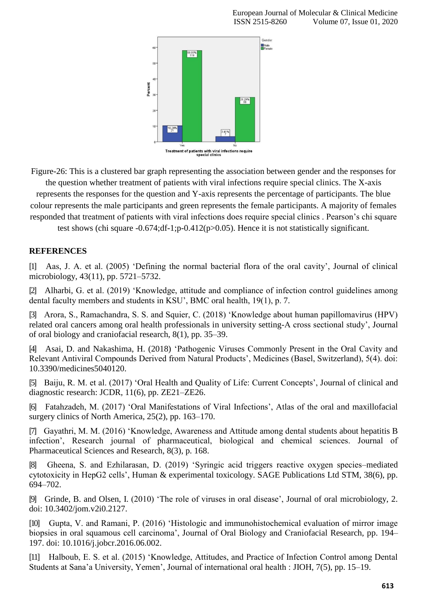

Figure-26: This is a clustered bar graph representing the association between gender and the responses for

the question whether treatment of patients with viral infections require special clinics. The X-axis represents the responses for the question and Y-axis represents the percentage of participants. The blue colour represents the male participants and green represents the female participants. A majority of females responded that treatment of patients with viral infections does require special clinics . Pearson's chi square

test shows (chi square -0.674;df-1;p-0.412(p>0.05). Hence it is not statistically significant.

## **REFERENCES**

[1] [Aas, J. A. et al. \(2005\) 'Defining the normal bacterial flora of the oral cavity', Journal of clinical](http://paperpile.com/b/UZ2cjp/uu0W) [microbiology, 43\(11\), pp.](http://paperpile.com/b/UZ2cjp/uu0W) 5721–5732.

[2] [Alharbi, G. et al. \(2019\) 'Knowledge, attitude and compliance of infection control guidelines among](http://paperpile.com/b/UZ2cjp/WQUd) [dental faculty members and students in KSU', BMC oral health, 19\(1\), p.](http://paperpile.com/b/UZ2cjp/WQUd) 7.

[3] [Arora, S., Ramachandra, S. S. and Squier, C. \(2018\) 'Knowledge about human papillomavirus \(HPV\)](http://paperpile.com/b/UZ2cjp/Tves) [related oral cancers among oral health professionals in university setting-A cross sectional study', Journal](http://paperpile.com/b/UZ2cjp/Tves) [of oral biology and craniofacial research, 8\(1\), pp.](http://paperpile.com/b/UZ2cjp/Tves) 35–39.

[4] Asai, D. and Nakashima, H. (2018) ['Pathogenic Viruses Commonly Present in the Oral Cavity and](http://paperpile.com/b/UZ2cjp/u9Qc) [Relevant Antiviral Compounds Derived from Natural Products', Medicines \(Basel, Switzerland\), 5\(4\). doi:](http://paperpile.com/b/UZ2cjp/u9Qc) [10.3390/medicines5040120.](http://dx.doi.org/10.3390/medicines5040120)

[5] [Baiju, R. M. et al. \(2017\) 'Oral Health and Quality of Life: Current Concepts', Journal of clinical and](http://paperpile.com/b/UZ2cjp/HVsA) [diagnostic research: JCDR, 11\(6\), pp.](http://paperpile.com/b/UZ2cjp/HVsA) ZE21–ZE26.

[6] [Fatahzadeh, M. \(2017\) 'Oral Manifestations of Viral Infections', Atlas of the oral and maxillofacial](http://paperpile.com/b/UZ2cjp/N3Gq) [surgery clinics of North America, 25\(2\), pp.](http://paperpile.com/b/UZ2cjp/N3Gq) 163–170.

[7] [Gayathri, M. M. \(2016\) 'Knowledge, Awareness and Attitude among dental students about hepatitis B](http://paperpile.com/b/UZ2cjp/8o4a) [infection', Research journal of pharmaceutical, biological and chemical sciences. Journal of](http://paperpile.com/b/UZ2cjp/8o4a) [Pharmaceutical Sciences and Research, 8\(3\), p.](http://paperpile.com/b/UZ2cjp/8o4a) 168.

[8] [Gheena, S. and Ezhilarasan, D. \(2019\) 'Syringic acid triggers reactive oxygen species–mediated](http://paperpile.com/b/UZ2cjp/i7bJ) cytotoxicity in HepG2 cells', Human [& experimental toxicology. SAGE Publications Ltd STM, 38\(6\), pp.](http://paperpile.com/b/UZ2cjp/i7bJ) [694–702.](http://paperpile.com/b/UZ2cjp/i7bJ)

[9] [Grinde, B. and Olsen, I. \(2010\) 'The role of viruses in oral disease', Journal of oral microbiology, 2.](http://paperpile.com/b/UZ2cjp/eX89) [doi: 10.3402/jom.v2i0.2127](http://paperpile.com/b/UZ2cjp/eX89)[.](http://dx.doi.org/10.3402/jom.v2i0.2127)

[10] [Gupta, V. and Ramani, P. \(2016\) 'Histologic and immunohistochemical evaluation of mirror image](http://paperpile.com/b/UZ2cjp/iSzV) [biopsies in oral squamous cell carcinoma', Journal of Oral Biology and Craniofacial Research, pp. 194–](http://paperpile.com/b/UZ2cjp/iSzV) [197. doi: 10.1016/j.jobcr.2016.06.002.](http://paperpile.com/b/UZ2cjp/iSzV)

[11] [Halboub, E. S. et al. \(2015\) 'Knowledge, Attitudes, and Practice of Infection Control among Dental](http://paperpile.com/b/UZ2cjp/Zzq6) [Students at Sana'a University, Yemen', Journal of international oral health :](http://paperpile.com/b/UZ2cjp/Zzq6) JIOH, 7(5), pp. 15–19.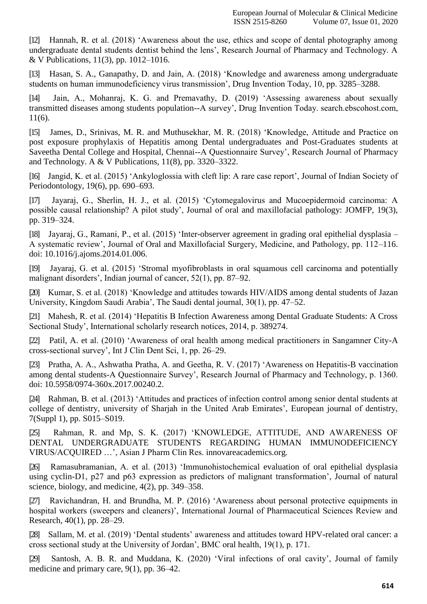[12] [Hannah, R. et al. \(2018\) 'Awareness about the use, ethics and scope of dental photography among](http://paperpile.com/b/UZ2cjp/nOUA) [undergraduate dental students dentist behind the lens', Research Journal of Pharmacy and Technology. A](http://paperpile.com/b/UZ2cjp/nOUA) [& V Publications, 11\(3\), pp.](http://paperpile.com/b/UZ2cjp/nOUA) 1012–1016.

[13] [Hasan, S. A., Ganapathy, D. and Jain, A. \(2018\) 'Knowledge and awareness among undergraduate](http://paperpile.com/b/UZ2cjp/tehO) [students on human immunodeficiency virus transmission', Drug Invention Today, 10, pp.](http://paperpile.com/b/UZ2cjp/tehO) 3285–3288.

[14] [Jain, A., Mohanraj, K. G. and Premavathy, D. \(2019\) 'Assessing awareness about sexually](http://paperpile.com/b/UZ2cjp/qmks) [transmitted diseases among students population--A survey', Drug Invention Today. search.ebscohost.com,](http://paperpile.com/b/UZ2cjp/qmks) [11\(6\).](http://paperpile.com/b/UZ2cjp/qmks)

[15] [James, D., Srinivas, M. R. and Muthusekhar, M. R. \(2018\) 'Knowledge, Attitude and Practice on](http://paperpile.com/b/UZ2cjp/yr3C) [post exposure prophylaxis of Hepatitis among Dental undergraduates and Post-Graduates students at](http://paperpile.com/b/UZ2cjp/yr3C) [Saveetha Dental College and Hospital, Chennai--A Questionnaire Survey', Research Journal of Pharmacy](http://paperpile.com/b/UZ2cjp/yr3C) [and Technology. A & V Publications, 11\(8\), pp.](http://paperpile.com/b/UZ2cjp/yr3C) 3320–3322.

[16] [Jangid, K. et al. \(2015\) 'Ankyloglossia with cleft lip: A rare case report', Journal of Indian Society of](http://paperpile.com/b/UZ2cjp/y4Hd) [Periodontology, 19\(6\), pp.](http://paperpile.com/b/UZ2cjp/y4Hd) 690–693.

[17] [Jayaraj, G., Sherlin, H. J., et al. \(2015\) 'Cytomegalovirus and Mucoepidermoid carcinoma: A](http://paperpile.com/b/UZ2cjp/Zzse) [possible causal relationship? A pilot study', Journal of oral and maxillofacial pathology: JOMFP, 19\(3\),](http://paperpile.com/b/UZ2cjp/Zzse) [pp. 319–324.](http://paperpile.com/b/UZ2cjp/Zzse)

[18] [Jayaraj, G., Ramani, P., et al. \(2015\) 'Inter-observer agreement in grading oral epithelial dysplasia –](http://paperpile.com/b/UZ2cjp/9fFx) [A systematic review', Journal of Oral and Maxillofacial Surgery, Medicine, and Pathology, pp. 112–116.](http://paperpile.com/b/UZ2cjp/9fFx) [doi: 10.1016/j.ajoms.2014.01.006.](http://paperpile.com/b/UZ2cjp/9fFx)

[19] [Jayaraj, G. et al. \(2015\) 'Stromal myofibroblasts in oral squamous cell carcinoma and potentially](http://paperpile.com/b/UZ2cjp/GOdG) [malignant disorders', Indian journal of cancer, 52\(1\), pp.](http://paperpile.com/b/UZ2cjp/GOdG) 87–92.

[20] [Kumar, S. et al. \(2018\) 'Knowledge and attitudes towards HIV/AIDS among dental students of Jazan](http://paperpile.com/b/UZ2cjp/67AI) [University, Kingdom Saudi Arabia', The Saudi dental journal, 30\(1\), pp.](http://paperpile.com/b/UZ2cjp/67AI) 47–52.

[21] [Mahesh, R. et al. \(2014\) 'Hepatitis B Infection Awareness among Dental Graduate Students: A Cross](http://paperpile.com/b/UZ2cjp/iLIW) [Sectional Study', International scholarly research notices, 2014, p.](http://paperpile.com/b/UZ2cjp/iLIW) 389274.

[22] [Patil, A. et al. \(2010\) 'Awareness of oral health among medical practitioners in Sangamner City-A](http://paperpile.com/b/UZ2cjp/XVex) [cross-sectional survey', Int J Clin Dent Sci, 1, pp.](http://paperpile.com/b/UZ2cjp/XVex) 26–29.

[23] [Pratha, A. A., Ashwatha Pratha, A. and Geetha, R. V. \(2017\) 'Awareness on Hepatitis-B vaccination](http://paperpile.com/b/UZ2cjp/u6iv) [among dental students-A Questionnaire Survey', Research Journal of Pharmacy and Technology, p. 1360.](http://paperpile.com/b/UZ2cjp/u6iv) [doi: 10.5958/0974-360x.2017.00240.2.](http://paperpile.com/b/UZ2cjp/u6iv)

[24] Rahman, [B. et al. \(2013\) 'Attitudes and practices of infection control among senior dental students at](http://paperpile.com/b/UZ2cjp/QCYR) [college of dentistry, university of Sharjah in the United Arab Emirates', European journal of dentistry,](http://paperpile.com/b/UZ2cjp/QCYR) [7\(Suppl 1\), pp.](http://paperpile.com/b/UZ2cjp/QCYR) S015–S019.

[25] [Rahman, R. and Mp, S. K. \(2017\) 'KNOWLEDGE, ATTITUDE, AND AWARENESS OF](http://paperpile.com/b/UZ2cjp/jpSs) [DENTAL UNDERGRADUATE STUDENTS REGARDING HUMAN IMMUNODEFICIENCY](http://paperpile.com/b/UZ2cjp/jpSs) [VIRUS/ACQUIRED …', Asian J Pharm Clin Res.](http://paperpile.com/b/UZ2cjp/jpSs) innovareacademics.org.

[26] Ramasubramanian, A. et al. (2013) 'Immunohistochemical evaluation of oral epithelial dysplasia using cyclin-D1, p27 and p63 expression as predictors of malignant transformation', Journal of natural science, biology, and medicine, 4(2), pp. 349–358.

[27] [Ravichandran, H. and Brundha, M. P. \(2016\) 'Awareness about personal protective equipments in](http://paperpile.com/b/UZ2cjp/CqII) [hospital workers \(sweepers and cleaners\)', International Journal of Pharmaceutical Sciences Review and](http://paperpile.com/b/UZ2cjp/CqII) [Research, 40\(1\), pp.](http://paperpile.com/b/UZ2cjp/CqII) 28–29.

[28] [Sallam, M. et al. \(2019\) 'Dental students' awareness and attitudes toward HPV-related oral cancer: a](http://paperpile.com/b/UZ2cjp/p7No) [cross sectional study at the University of Jordan', BMC oral health, 19\(1\), p.](http://paperpile.com/b/UZ2cjp/p7No) 171.

[29] [Santosh, A. B. R. and Muddana, K. \(2020\) 'Viral infections of oral cavity', Journal of family](http://paperpile.com/b/UZ2cjp/5zW8) [medicine and primary care, 9\(1\), pp.](http://paperpile.com/b/UZ2cjp/5zW8) 36–42.